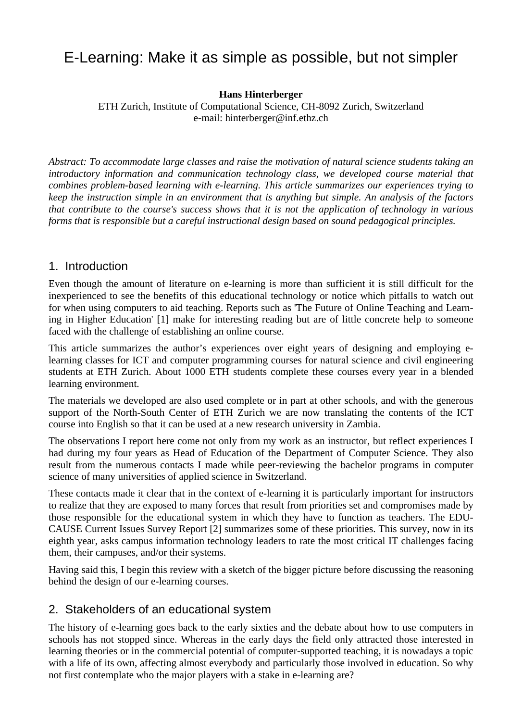# E-Learning: Make it as simple as possible, but not simpler

**Hans Hinterberger** 

ETH Zurich, Institute of Computational Science, CH-8092 Zurich, Switzerland e-mail: hinterberger@inf.ethz.ch

*Abstract: To accommodate large classes and raise the motivation of natural science students taking an introductory information and communication technology class, we developed course material that combines problem-based learning with e-learning. This article summarizes our experiences trying to keep the instruction simple in an environment that is anything but simple. An analysis of the factors that contribute to the course's success shows that it is not the application of technology in various forms that is responsible but a careful instructional design based on sound pedagogical principles.* 

#### 1. Introduction

Even though the amount of literature on e-learning is more than sufficient it is still difficult for the inexperienced to see the benefits of this educational technology or notice which pitfalls to watch out for when using computers to aid teaching. Reports such as 'The Future of Online Teaching and Learning in Higher Education' [1] make for interesting reading but are of little concrete help to someone faced with the challenge of establishing an online course.

This article summarizes the author's experiences over eight years of designing and employing elearning classes for ICT and computer programming courses for natural science and civil engineering students at ETH Zurich. About 1000 ETH students complete these courses every year in a blended learning environment.

The materials we developed are also used complete or in part at other schools, and with the generous support of the North-South Center of ETH Zurich we are now translating the contents of the ICT course into English so that it can be used at a new research university in Zambia.

The observations I report here come not only from my work as an instructor, but reflect experiences I had during my four years as Head of Education of the Department of Computer Science. They also result from the numerous contacts I made while peer-reviewing the bachelor programs in computer science of many universities of applied science in Switzerland.

These contacts made it clear that in the context of e-learning it is particularly important for instructors to realize that they are exposed to many forces that result from priorities set and compromises made by those responsible for the educational system in which they have to function as teachers. The EDU-CAUSE Current Issues Survey Report [2] summarizes some of these priorities. This survey, now in its eighth year, asks campus information technology leaders to rate the most critical IT challenges facing them, their campuses, and/or their systems.

Having said this, I begin this review with a sketch of the bigger picture before discussing the reasoning behind the design of our e-learning courses.

### 2. Stakeholders of an educational system

The history of e-learning goes back to the early sixties and the debate about how to use computers in schools has not stopped since. Whereas in the early days the field only attracted those interested in learning theories or in the commercial potential of computer-supported teaching, it is nowadays a topic with a life of its own, affecting almost everybody and particularly those involved in education. So why not first contemplate who the major players with a stake in e-learning are?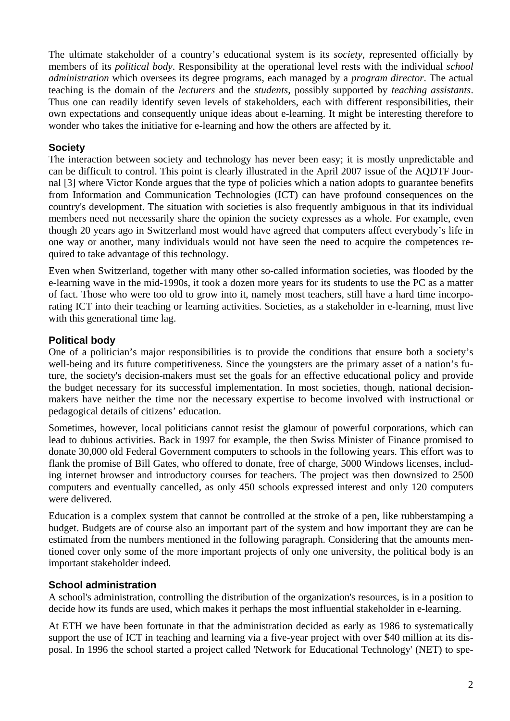The ultimate stakeholder of a country's educational system is its *society*, represented officially by members of its *political body*. Responsibility at the operational level rests with the individual *school administration* which oversees its degree programs, each managed by a *program director*. The actual teaching is the domain of the *lecturers* and the *students*, possibly supported by *teaching assistants*. Thus one can readily identify seven levels of stakeholders, each with different responsibilities, their own expectations and consequently unique ideas about e-learning. It might be interesting therefore to wonder who takes the initiative for e-learning and how the others are affected by it.

#### **Society**

The interaction between society and technology has never been easy; it is mostly unpredictable and can be difficult to control. This point is clearly illustrated in the April 2007 issue of the AQDTF Journal [3] where Victor Konde argues that the type of policies which a nation adopts to guarantee benefits from Information and Communication Technologies (ICT) can have profound consequences on the country's development. The situation with societies is also frequently ambiguous in that its individual members need not necessarily share the opinion the society expresses as a whole. For example, even though 20 years ago in Switzerland most would have agreed that computers affect everybody's life in one way or another, many individuals would not have seen the need to acquire the competences required to take advantage of this technology.

Even when Switzerland, together with many other so-called information societies, was flooded by the e-learning wave in the mid-1990s, it took a dozen more years for its students to use the PC as a matter of fact. Those who were too old to grow into it, namely most teachers, still have a hard time incorporating ICT into their teaching or learning activities. Societies, as a stakeholder in e-learning, must live with this generational time lag.

#### **Political body**

One of a politician's major responsibilities is to provide the conditions that ensure both a society's well-being and its future competitiveness. Since the youngsters are the primary asset of a nation's future, the society's decision-makers must set the goals for an effective educational policy and provide the budget necessary for its successful implementation. In most societies, though, national decisionmakers have neither the time nor the necessary expertise to become involved with instructional or pedagogical details of citizens' education.

Sometimes, however, local politicians cannot resist the glamour of powerful corporations, which can lead to dubious activities. Back in 1997 for example, the then Swiss Minister of Finance promised to donate 30,000 old Federal Government computers to schools in the following years. This effort was to flank the promise of Bill Gates, who offered to donate, free of charge, 5000 Windows licenses, including internet browser and introductory courses for teachers. The project was then downsized to 2500 computers and eventually cancelled, as only 450 schools expressed interest and only 120 computers were delivered.

Education is a complex system that cannot be controlled at the stroke of a pen, like rubberstamping a budget. Budgets are of course also an important part of the system and how important they are can be estimated from the numbers mentioned in the following paragraph. Considering that the amounts mentioned cover only some of the more important projects of only one university, the political body is an important stakeholder indeed.

#### **School administration**

A school's administration, controlling the distribution of the organization's resources, is in a position to decide how its funds are used, which makes it perhaps the most influential stakeholder in e-learning.

At ETH we have been fortunate in that the administration decided as early as 1986 to systematically support the use of ICT in teaching and learning via a five-year project with over \$40 million at its disposal. In 1996 the school started a project called 'Network for Educational Technology' (NET) to spe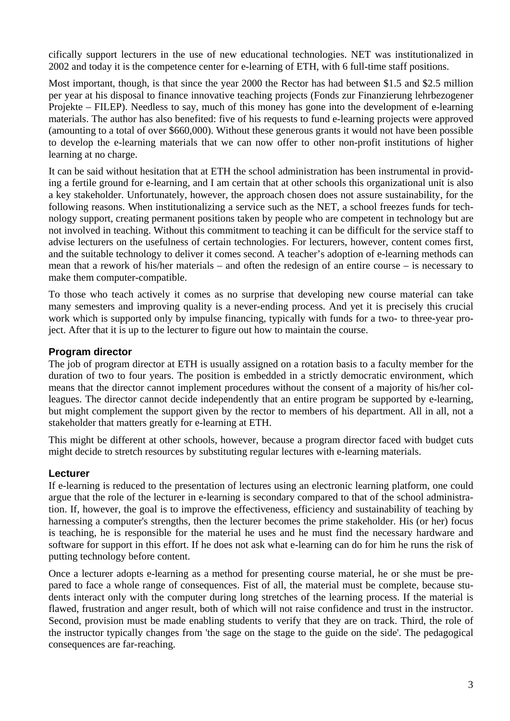cifically support lecturers in the use of new educational technologies. NET was institutionalized in 2002 and today it is the competence center for e-learning of ETH, with 6 full-time staff positions.

Most important, though, is that since the year 2000 the Rector has had between \$1.5 and \$2.5 million per year at his disposal to finance innovative teaching projects (Fonds zur Finanzierung lehrbezogener Projekte – FILEP). Needless to say, much of this money has gone into the development of e-learning materials. The author has also benefited: five of his requests to fund e-learning projects were approved (amounting to a total of over \$660,000). Without these generous grants it would not have been possible to develop the e-learning materials that we can now offer to other non-profit institutions of higher learning at no charge.

It can be said without hesitation that at ETH the school administration has been instrumental in providing a fertile ground for e-learning, and I am certain that at other schools this organizational unit is also a key stakeholder. Unfortunately, however, the approach chosen does not assure sustainability, for the following reasons. When institutionalizing a service such as the NET, a school freezes funds for technology support, creating permanent positions taken by people who are competent in technology but are not involved in teaching. Without this commitment to teaching it can be difficult for the service staff to advise lecturers on the usefulness of certain technologies. For lecturers, however, content comes first, and the suitable technology to deliver it comes second. A teacher's adoption of e-learning methods can mean that a rework of his/her materials – and often the redesign of an entire course – is necessary to make them computer-compatible.

To those who teach actively it comes as no surprise that developing new course material can take many semesters and improving quality is a never-ending process. And yet it is precisely this crucial work which is supported only by impulse financing, typically with funds for a two- to three-year project. After that it is up to the lecturer to figure out how to maintain the course.

#### **Program director**

The job of program director at ETH is usually assigned on a rotation basis to a faculty member for the duration of two to four years. The position is embedded in a strictly democratic environment, which means that the director cannot implement procedures without the consent of a majority of his/her colleagues. The director cannot decide independently that an entire program be supported by e-learning, but might complement the support given by the rector to members of his department. All in all, not a stakeholder that matters greatly for e-learning at ETH.

This might be different at other schools, however, because a program director faced with budget cuts might decide to stretch resources by substituting regular lectures with e-learning materials.

#### **Lecturer**

If e-learning is reduced to the presentation of lectures using an electronic learning platform, one could argue that the role of the lecturer in e-learning is secondary compared to that of the school administration. If, however, the goal is to improve the effectiveness, efficiency and sustainability of teaching by harnessing a computer's strengths, then the lecturer becomes the prime stakeholder. His (or her) focus is teaching, he is responsible for the material he uses and he must find the necessary hardware and software for support in this effort. If he does not ask what e-learning can do for him he runs the risk of putting technology before content.

Once a lecturer adopts e-learning as a method for presenting course material, he or she must be prepared to face a whole range of consequences. Fist of all, the material must be complete, because students interact only with the computer during long stretches of the learning process. If the material is flawed, frustration and anger result, both of which will not raise confidence and trust in the instructor. Second, provision must be made enabling students to verify that they are on track. Third, the role of the instructor typically changes from 'the sage on the stage to the guide on the side'. The pedagogical consequences are far-reaching.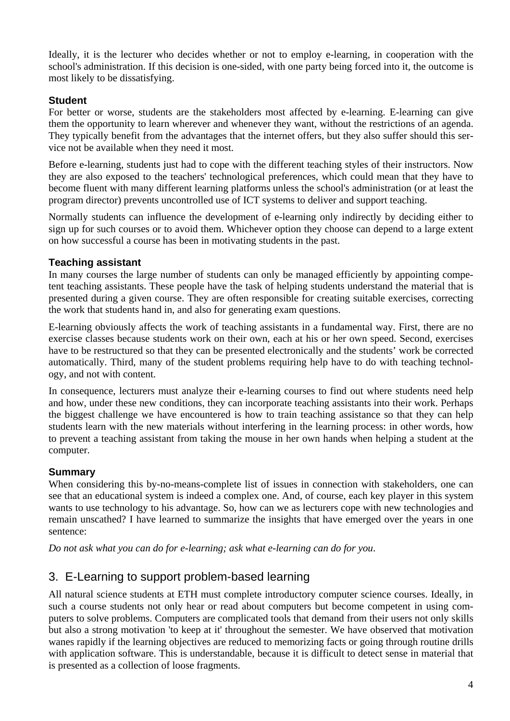Ideally, it is the lecturer who decides whether or not to employ e-learning, in cooperation with the school's administration. If this decision is one-sided, with one party being forced into it, the outcome is most likely to be dissatisfying.

#### **Student**

For better or worse, students are the stakeholders most affected by e-learning. E-learning can give them the opportunity to learn wherever and whenever they want, without the restrictions of an agenda. They typically benefit from the advantages that the internet offers, but they also suffer should this service not be available when they need it most.

Before e-learning, students just had to cope with the different teaching styles of their instructors. Now they are also exposed to the teachers' technological preferences, which could mean that they have to become fluent with many different learning platforms unless the school's administration (or at least the program director) prevents uncontrolled use of ICT systems to deliver and support teaching.

Normally students can influence the development of e-learning only indirectly by deciding either to sign up for such courses or to avoid them. Whichever option they choose can depend to a large extent on how successful a course has been in motivating students in the past.

#### **Teaching assistant**

In many courses the large number of students can only be managed efficiently by appointing competent teaching assistants. These people have the task of helping students understand the material that is presented during a given course. They are often responsible for creating suitable exercises, correcting the work that students hand in, and also for generating exam questions.

E-learning obviously affects the work of teaching assistants in a fundamental way. First, there are no exercise classes because students work on their own, each at his or her own speed. Second, exercises have to be restructured so that they can be presented electronically and the students' work be corrected automatically. Third, many of the student problems requiring help have to do with teaching technology, and not with content.

In consequence, lecturers must analyze their e-learning courses to find out where students need help and how, under these new conditions, they can incorporate teaching assistants into their work. Perhaps the biggest challenge we have encountered is how to train teaching assistance so that they can help students learn with the new materials without interfering in the learning process: in other words, how to prevent a teaching assistant from taking the mouse in her own hands when helping a student at the computer.

#### **Summary**

When considering this by-no-means-complete list of issues in connection with stakeholders, one can see that an educational system is indeed a complex one. And, of course, each key player in this system wants to use technology to his advantage. So, how can we as lecturers cope with new technologies and remain unscathed? I have learned to summarize the insights that have emerged over the years in one sentence:

*Do not ask what you can do for e-learning; ask what e-learning can do for you*.

## 3. E-Learning to support problem-based learning

All natural science students at ETH must complete introductory computer science courses. Ideally, in such a course students not only hear or read about computers but become competent in using computers to solve problems. Computers are complicated tools that demand from their users not only skills but also a strong motivation 'to keep at it' throughout the semester. We have observed that motivation wanes rapidly if the learning objectives are reduced to memorizing facts or going through routine drills with application software. This is understandable, because it is difficult to detect sense in material that is presented as a collection of loose fragments.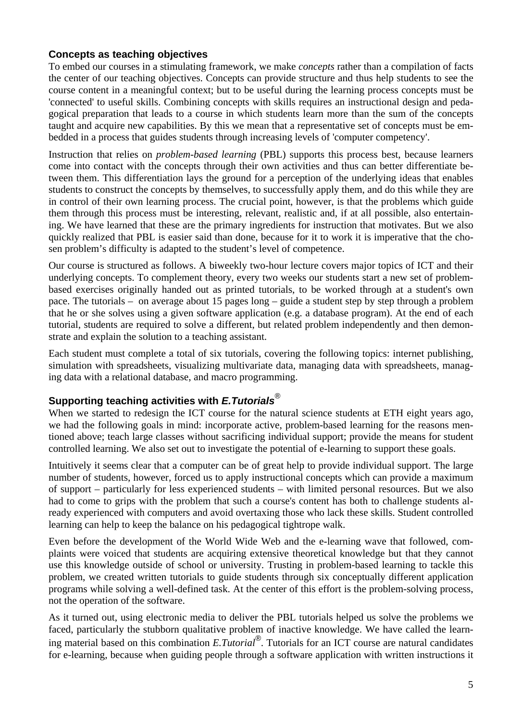#### **Concepts as teaching objectives**

To embed our courses in a stimulating framework, we make *concepts* rather than a compilation of facts the center of our teaching objectives. Concepts can provide structure and thus help students to see the course content in a meaningful context; but to be useful during the learning process concepts must be 'connected' to useful skills. Combining concepts with skills requires an instructional design and pedagogical preparation that leads to a course in which students learn more than the sum of the concepts taught and acquire new capabilities. By this we mean that a representative set of concepts must be embedded in a process that guides students through increasing levels of 'computer competency'.

Instruction that relies on *problem-based learning* (PBL) supports this process best, because learners come into contact with the concepts through their own activities and thus can better differentiate between them. This differentiation lays the ground for a perception of the underlying ideas that enables students to construct the concepts by themselves, to successfully apply them, and do this while they are in control of their own learning process. The crucial point, however, is that the problems which guide them through this process must be interesting, relevant, realistic and, if at all possible, also entertaining. We have learned that these are the primary ingredients for instruction that motivates. But we also quickly realized that PBL is easier said than done, because for it to work it is imperative that the chosen problem's difficulty is adapted to the student's level of competence.

Our course is structured as follows. A biweekly two-hour lecture covers major topics of ICT and their underlying concepts. To complement theory, every two weeks our students start a new set of problembased exercises originally handed out as printed tutorials, to be worked through at a student's own pace. The tutorials – on average about 15 pages long – guide a student step by step through a problem that he or she solves using a given software application (e.g. a database program). At the end of each tutorial, students are required to solve a different, but related problem independently and then demonstrate and explain the solution to a teaching assistant.

Each student must complete a total of six tutorials, covering the following topics: internet publishing, simulation with spreadsheets, visualizing multivariate data, managing data with spreadsheets, managing data with a relational database, and macro programming.

## **Supporting teaching activities with** *E.Tutorials®*

When we started to redesign the ICT course for the natural science students at ETH eight years ago, we had the following goals in mind: incorporate active, problem-based learning for the reasons mentioned above; teach large classes without sacrificing individual support; provide the means for student controlled learning. We also set out to investigate the potential of e-learning to support these goals.

Intuitively it seems clear that a computer can be of great help to provide individual support. The large number of students, however, forced us to apply instructional concepts which can provide a maximum of support – particularly for less experienced students – with limited personal resources. But we also had to come to grips with the problem that such a course's content has both to challenge students already experienced with computers and avoid overtaxing those who lack these skills. Student controlled learning can help to keep the balance on his pedagogical tightrope walk.

Even before the development of the World Wide Web and the e-learning wave that followed, complaints were voiced that students are acquiring extensive theoretical knowledge but that they cannot use this knowledge outside of school or university. Trusting in problem-based learning to tackle this problem, we created written tutorials to guide students through six conceptually different application programs while solving a well-defined task. At the center of this effort is the problem-solving process, not the operation of the software.

As it turned out, using electronic media to deliver the PBL tutorials helped us solve the problems we faced, particularly the stubborn qualitative problem of inactive knowledge. We have called the learning material based on this combination *E.Tutorial®*. Tutorials for an ICT course are natural candidates for e-learning, because when guiding people through a software application with written instructions it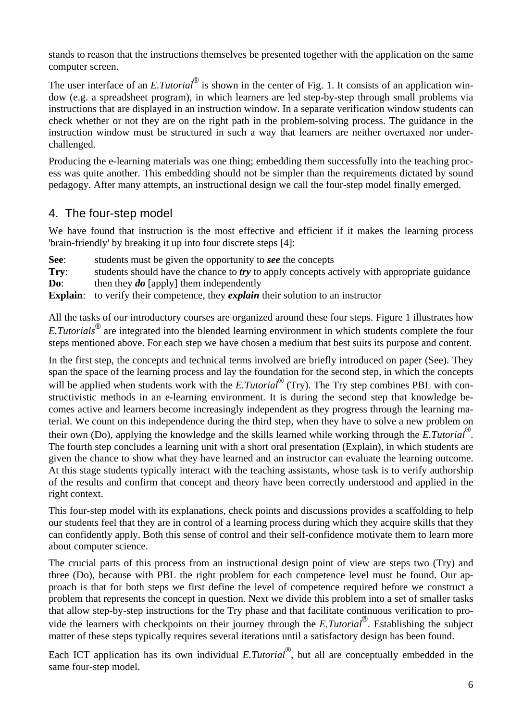stands to reason that the instructions themselves be presented together with the application on the same computer screen.

The user interface of an *E.Tutorial®* is shown in the center of Fig. 1. It consists of an application window (e.g. a spreadsheet program), in which learners are led step-by-step through small problems via instructions that are displayed in an instruction window. In a separate verification window students can check whether or not they are on the right path in the problem-solving process. The guidance in the instruction window must be structured in such a way that learners are neither overtaxed nor underchallenged.

Producing the e-learning materials was one thing; embedding them successfully into the teaching process was quite another. This embedding should not be simpler than the requirements dictated by sound pedagogy. After many attempts, an instructional design we call the four-step model finally emerged.

## 4. The four-step model

We have found that instruction is the most effective and efficient if it makes the learning process 'brain-friendly' by breaking it up into four discrete steps [4]:

**See:** students must be given the opportunity to *see* the concepts **Try**: students should have the chance to *try* to apply concepts actively with appropriate guidance **Do**: then they *do* [apply] them independently

**Explain:** to verify their competence, they *explain* their solution to an instructor

All the tasks of our introductory courses are organized around these four steps. Figure 1 illustrates how *E.Tutorials®* are integrated into the blended learning environment in which students complete the four steps mentioned above. For each step we have chosen a medium that best suits its purpose and content.

In the first step, the concepts and technical terms involved are briefly introduced on paper (See). They span the space of the learning process and lay the foundation for the second step, in which the concepts will be applied when students work with the *E.Tutorial*<sup>®</sup> (Try). The Try step combines PBL with constructivistic methods in an e-learning environment. It is during the second step that knowledge becomes active and learners become increasingly independent as they progress through the learning material. We count on this independence during the third step, when they have to solve a new problem on their own (Do), applying the knowledge and the skills learned while working through the *E.Tutorial®*. The fourth step concludes a learning unit with a short oral presentation (Explain), in which students are given the chance to show what they have learned and an instructor can evaluate the learning outcome. At this stage students typically interact with the teaching assistants, whose task is to verify authorship of the results and confirm that concept and theory have been correctly understood and applied in the right context.

This four-step model with its explanations, check points and discussions provides a scaffolding to help our students feel that they are in control of a learning process during which they acquire skills that they can confidently apply. Both this sense of control and their self-confidence motivate them to learn more about computer science.

The crucial parts of this process from an instructional design point of view are steps two (Try) and three (Do), because with PBL the right problem for each competence level must be found. Our approach is that for both steps we first define the level of competence required before we construct a problem that represents the concept in question. Next we divide this problem into a set of smaller tasks that allow step-by-step instructions for the Try phase and that facilitate continuous verification to provide the learners with checkpoints on their journey through the *E.Tutorial®*. Establishing the subject matter of these steps typically requires several iterations until a satisfactory design has been found.

Each ICT application has its own individual *E.Tutorial*<sup>®</sup>, but all are conceptually embedded in the same four-step model.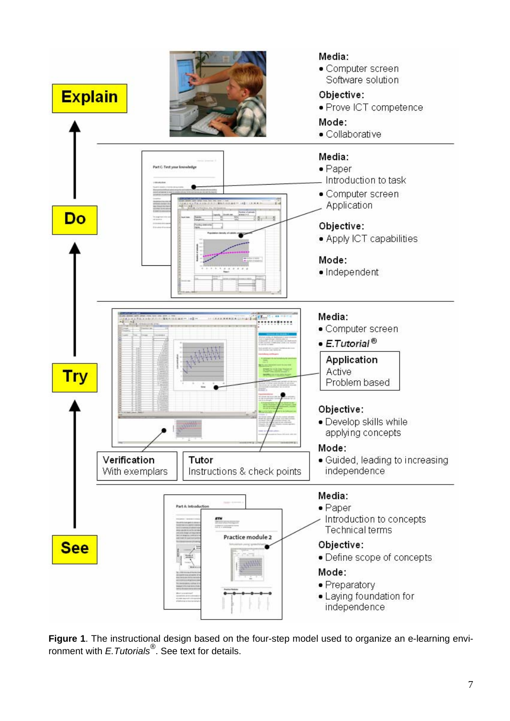

**Figure 1**. The instructional design based on the four-step model used to organize an e-learning environment with *E.Tutorials®*. See text for details.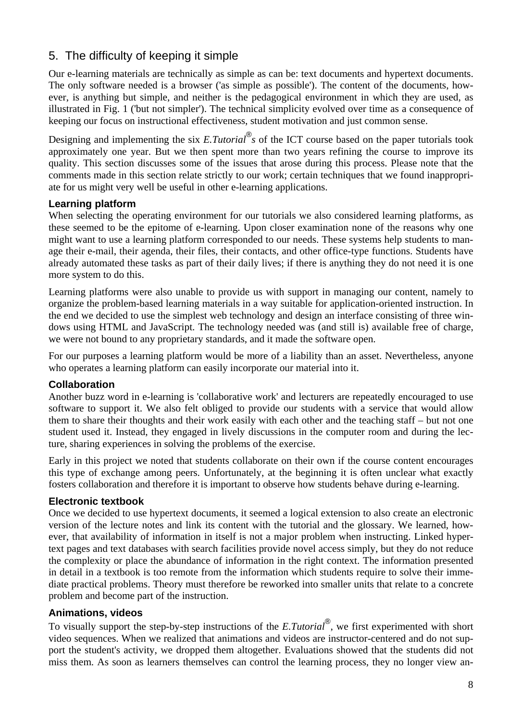## 5. The difficulty of keeping it simple

Our e-learning materials are technically as simple as can be: text documents and hypertext documents. The only software needed is a browser ('as simple as possible'). The content of the documents, however, is anything but simple, and neither is the pedagogical environment in which they are used, as illustrated in Fig. 1 ('but not simpler'). The technical simplicity evolved over time as a consequence of keeping our focus on instructional effectiveness, student motivation and just common sense.

Designing and implementing the six *E.Tutorial® s* of the ICT course based on the paper tutorials took approximately one year. But we then spent more than two years refining the course to improve its quality. This section discusses some of the issues that arose during this process. Please note that the comments made in this section relate strictly to our work; certain techniques that we found inappropriate for us might very well be useful in other e-learning applications.

#### **Learning platform**

When selecting the operating environment for our tutorials we also considered learning platforms, as these seemed to be the epitome of e-learning. Upon closer examination none of the reasons why one might want to use a learning platform corresponded to our needs. These systems help students to manage their e-mail, their agenda, their files, their contacts, and other office-type functions. Students have already automated these tasks as part of their daily lives; if there is anything they do not need it is one more system to do this.

Learning platforms were also unable to provide us with support in managing our content, namely to organize the problem-based learning materials in a way suitable for application-oriented instruction. In the end we decided to use the simplest web technology and design an interface consisting of three windows using HTML and JavaScript. The technology needed was (and still is) available free of charge, we were not bound to any proprietary standards, and it made the software open.

For our purposes a learning platform would be more of a liability than an asset. Nevertheless, anyone who operates a learning platform can easily incorporate our material into it.

#### **Collaboration**

Another buzz word in e-learning is 'collaborative work' and lecturers are repeatedly encouraged to use software to support it. We also felt obliged to provide our students with a service that would allow them to share their thoughts and their work easily with each other and the teaching staff – but not one student used it. Instead, they engaged in lively discussions in the computer room and during the lecture, sharing experiences in solving the problems of the exercise.

Early in this project we noted that students collaborate on their own if the course content encourages this type of exchange among peers. Unfortunately, at the beginning it is often unclear what exactly fosters collaboration and therefore it is important to observe how students behave during e-learning.

#### **Electronic textbook**

Once we decided to use hypertext documents, it seemed a logical extension to also create an electronic version of the lecture notes and link its content with the tutorial and the glossary. We learned, however, that availability of information in itself is not a major problem when instructing. Linked hypertext pages and text databases with search facilities provide novel access simply, but they do not reduce the complexity or place the abundance of information in the right context. The information presented in detail in a textbook is too remote from the information which students require to solve their immediate practical problems. Theory must therefore be reworked into smaller units that relate to a concrete problem and become part of the instruction.

#### **Animations, videos**

To visually support the step-by-step instructions of the *E.Tutorial®*, we first experimented with short video sequences. When we realized that animations and videos are instructor-centered and do not support the student's activity, we dropped them altogether. Evaluations showed that the students did not miss them. As soon as learners themselves can control the learning process, they no longer view an-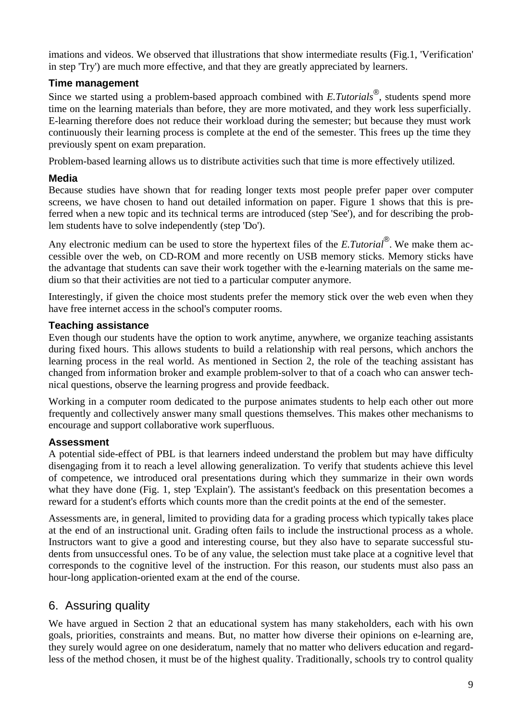imations and videos. We observed that illustrations that show intermediate results (Fig.1, 'Verification' in step 'Try') are much more effective, and that they are greatly appreciated by learners.

#### **Time management**

Since we started using a problem-based approach combined with *E.Tutorials®*, students spend more time on the learning materials than before, they are more motivated, and they work less superficially. E-learning therefore does not reduce their workload during the semester; but because they must work continuously their learning process is complete at the end of the semester. This frees up the time they previously spent on exam preparation.

Problem-based learning allows us to distribute activities such that time is more effectively utilized.

#### **Media**

Because studies have shown that for reading longer texts most people prefer paper over computer screens, we have chosen to hand out detailed information on paper. Figure 1 shows that this is preferred when a new topic and its technical terms are introduced (step 'See'), and for describing the problem students have to solve independently (step 'Do').

Any electronic medium can be used to store the hypertext files of the *E.Tutorial®*. We make them accessible over the web, on CD-ROM and more recently on USB memory sticks. Memory sticks have the advantage that students can save their work together with the e-learning materials on the same medium so that their activities are not tied to a particular computer anymore.

Interestingly, if given the choice most students prefer the memory stick over the web even when they have free internet access in the school's computer rooms.

#### **Teaching assistance**

Even though our students have the option to work anytime, anywhere, we organize teaching assistants during fixed hours. This allows students to build a relationship with real persons, which anchors the learning process in the real world. As mentioned in Section 2, the role of the teaching assistant has changed from information broker and example problem-solver to that of a coach who can answer technical questions, observe the learning progress and provide feedback.

Working in a computer room dedicated to the purpose animates students to help each other out more frequently and collectively answer many small questions themselves. This makes other mechanisms to encourage and support collaborative work superfluous.

#### **Assessment**

A potential side-effect of PBL is that learners indeed understand the problem but may have difficulty disengaging from it to reach a level allowing generalization. To verify that students achieve this level of competence, we introduced oral presentations during which they summarize in their own words what they have done (Fig. 1, step 'Explain'). The assistant's feedback on this presentation becomes a reward for a student's efforts which counts more than the credit points at the end of the semester.

Assessments are, in general, limited to providing data for a grading process which typically takes place at the end of an instructional unit. Grading often fails to include the instructional process as a whole. Instructors want to give a good and interesting course, but they also have to separate successful students from unsuccessful ones. To be of any value, the selection must take place at a cognitive level that corresponds to the cognitive level of the instruction. For this reason, our students must also pass an hour-long application-oriented exam at the end of the course.

## 6. Assuring quality

We have argued in Section 2 that an educational system has many stakeholders, each with his own goals, priorities, constraints and means. But, no matter how diverse their opinions on e-learning are, they surely would agree on one desideratum, namely that no matter who delivers education and regardless of the method chosen, it must be of the highest quality. Traditionally, schools try to control quality